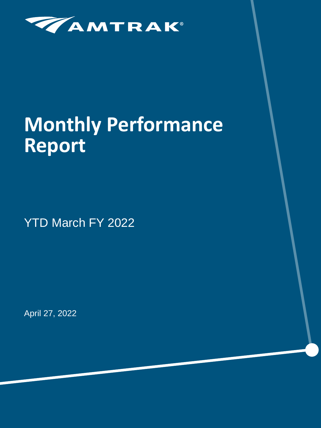

# **Monthly Performance Report**

YTD March FY 2022

April 27, 2022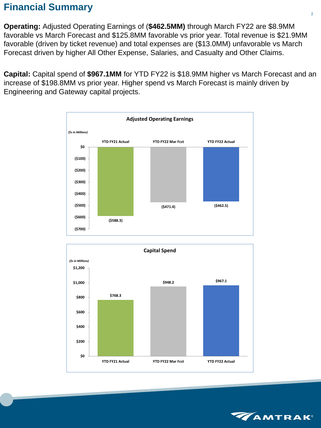# **Financial Summary**

**Operating:** Adjusted Operating Earnings of (**\$462.5MM)** through March FY22 are \$8.9MM favorable vs March Forecast and \$125.8MM favorable vs prior year. Total revenue is \$21.9MM favorable (driven by ticket revenue) and total expenses are (\$13.0MM) unfavorable vs March Forecast driven by higher All Other Expense, Salaries, and Casualty and Other Claims.

**Capital:** Capital spend of **\$967.1MM** for YTD FY22 is \$18.9MM higher vs March Forecast and an increase of \$198.8MM vs prior year. Higher spend vs March Forecast is mainly driven by Engineering and Gateway capital projects.





![](_page_1_Picture_5.jpeg)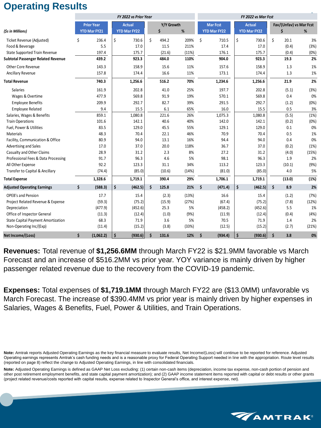# **Operating Results**

|                                           |    |                     | FY 2022 vs Prior Year |             | FY 2022 vs Mar Fcst |                     |                     |                              |       |  |
|-------------------------------------------|----|---------------------|-----------------------|-------------|---------------------|---------------------|---------------------|------------------------------|-------|--|
| (\$s in Millions)                         |    | <b>Prior Year</b>   | <b>Actual</b>         | Y/Y Growth  |                     | <b>Mar Fcst</b>     | <b>Actual</b>       | Fav/(Unfav) vs Mar Fcst<br>% |       |  |
|                                           |    | <b>YTD Mar FY21</b> | <b>YTD Mar FY22</b>   | Ś           | %                   | <b>YTD Mar FY22</b> | <b>YTD Mar FY22</b> |                              |       |  |
| Ticket Revenue (Adjusted)                 | \$ | 236.4               | \$<br>730.6           | \$<br>494.2 | 209%                | \$<br>710.5         | \$<br>730.6         | \$<br>20.1                   | 3%    |  |
| Food & Beverage                           |    | 5.5                 | 17.0                  | 11.5        | 211%                | 17.4                | 17.0                | (0.4)                        | (3%)  |  |
| <b>State Supported Train Revenue</b>      |    | 197.4               | 175.7                 | (21.6)      | (11%)               | 176.1               | 175.7               | (0.4)                        | (0%)  |  |
| <b>Subtotal Passenger Related Revenue</b> |    | 439.2               | 923.3                 | 484.0       | 110%                | 904.0               | 923.3               | 19.3                         | 2%    |  |
| Other Core Revenue                        |    | 143.3               | 158.9                 | 15.6        | 11%                 | 157.6               | 158.9               | 1.3                          | 1%    |  |
| Ancillary Revenue                         |    | 157.8               | 174.4                 | 16.6        | 11%                 | 173.1               | 174.4               | 1.3                          | 1%    |  |
| <b>Total Revenue</b>                      |    | 740.3               | 1,256.6               | 516.2       | 70%                 | 1,234.6             | 1,256.6             | 21.9                         | 2%    |  |
| Salaries                                  |    | 161.9               | 202.8                 | 41.0        | 25%                 | 197.7               | 202.8               | (5.1)                        | (3%)  |  |
| Wages & Overtime                          |    | 477.9               | 569.8                 | 91.9        | 19%                 | 570.1               | 569.8               | 0.4                          | 0%    |  |
| <b>Employee Benefits</b>                  |    | 209.9               | 292.7                 | 82.7        | 39%                 | 291.5               | 292.7               | (1.2)                        | (0%)  |  |
| <b>Employee Related</b>                   |    | 9.4                 | 15.5                  | 6.1         | 65%                 | 16.0                | 15.5                | 0.5                          | 3%    |  |
| Salaries, Wages & Benefits                |    | 859.1               | 1,080.8               | 221.6       | 26%                 | 1,075.3             | 1,080.8             | (5.5)                        | (1%)  |  |
| <b>Train Operations</b>                   |    | 101.6               | 142.1                 | 40.6        | 40%                 | 142.0               | 142.1               | (0.2)                        | (0%)  |  |
| Fuel, Power & Utilities                   |    | 83.5                | 129.0                 | 45.5        | 55%                 | 129.1               | 129.0               | 0.1                          | 0%    |  |
| Materials                                 |    | 48.3                | 70.4                  | 22.1        | 46%                 | 70.9                | 70.4                | 0.5                          | 1%    |  |
| Facility, Communication & Office          |    | 80.9                | 94.0                  | 13.1        | 16%                 | 94.4                | 94.0                | 0.4                          | 0%    |  |
| Advertising and Sales                     |    | 17.0                | 37.0                  | 20.0        | 118%                | 36.7                | 37.0                | (0.2)                        | (1%)  |  |
| Casualty and Other Claims                 |    | 28.9                | 31.2                  | 2.3         | 8%                  | 27.2                | 31.2                | (4.0)                        | (15%) |  |
| Professional Fees & Data Processing       |    | 91.7                | 96.3                  | 4.6         | 5%                  | 98.1                | 96.3                | 1.9                          | 2%    |  |
| All Other Expense                         |    | 92.2                | 123.3                 | 31.1        | 34%                 | 113.2               | 123.3               | (10.1)                       | (9%)  |  |
| Transfer to Capital & Ancillary           |    | (74.4)              | (85.0)                | (10.6)      | (14%)               | (81.0)              | (85.0)              | 4.0                          | 5%    |  |
| <b>Total Expense</b>                      |    | 1,328.6             | 1,719.1               | 390.4       | 29%                 | 1,706.1             | 1,719.1             | (13.0)                       | (1%)  |  |
| <b>Adjusted Operating Earnings</b>        | \$ | (588.3)             | \$<br>(462.5)         | \$<br>125.8 | 21%                 | (471.4)<br>\$       | (462.5)<br>\$       | \$<br>8.9                    | 2%    |  |
| <b>OPEB's and Pension</b>                 |    | 17.7                | 15.4                  | (2.3)       | (13%)               | 16.6                | 15.4                | (1.2)                        | (7%)  |  |
| Project Related Revenue & Expense         |    | (59.3)              | (75.2)                | (15.9)      | (27%)               | (67.4)              | (75.2)              | (7.8)                        | (12%) |  |
| Depreciation                              |    | (477.9)             | (452.6)               | 25.3        | 5%                  | (458.2)             | (452.6)             | 5.5                          | 1%    |  |
| Office of Inspector General               |    | (11.3)              | (12.4)                | (1.0)       | (9%)                | (11.9)              | (12.4)              | (0.4)                        | (4%)  |  |
| <b>State Capital Payment Amortization</b> |    | 68.3                | 71.9                  | 3.6         | 5%                  | 70.5                | 71.9                | 1.4                          | 2%    |  |
| Non-Operating Inc/(Exp)                   |    | (11.4)              | (15.2)                | (3.8)       | (33%)               | (12.5)              | (15.2)              | (2.7)                        | (21%) |  |
| Net Income/(Loss)                         | \$ | (1,062.2)           | \$<br>(930.6)         | \$<br>131.6 | 12%                 | \$<br>(934.4)       | \$<br>(930.6)       | \$<br>3.8                    | 0%    |  |

**Revenues:** Total revenue of **\$1,256.6MM** through March FY22 is \$21.9MM favorable vs March Forecast and an increase of \$516.2MM vs prior year. YOY variance is mainly driven by higher passenger related revenue due to the recovery from the COVID-19 pandemic.

**Expenses:** Total expenses of **\$1,719.1MM** through March FY22 are (\$13.0MM) unfavorable vs March Forecast. The increase of \$390.4MM vs prior year is mainly driven by higher expenses in Salaries, Wages & Benefits, Fuel, Power & Utilities, and Train Operations.

**Note:** Adjusted Operating Earnings is defined as GAAP Net Loss excluding: (1) certain non-cash items (depreciation, income tax expense, non-cash portion of pension and other post retirement employment benefits, and state capital payment amortization); and (2) GAAP income statement items reported with capital or debt results or other grants (project related revenue/costs reported with capital results, expense related to Inspector General's office, and interest expense, net).

![](_page_2_Picture_6.jpeg)

**Note:** Amtrak reports Adjusted Operating Earnings as the key financial measure to evaluate results, Net Income/(Loss) will continue to be reported for reference. Adjusted Operating earnings represents Amtrak's cash funding needs and is a reasonable proxy for Federal Operating Support needed in line with the appropriation. Route level results (reported on page 8) reflect the change to Adjusted Operating Earnings, in line with consolidated financials.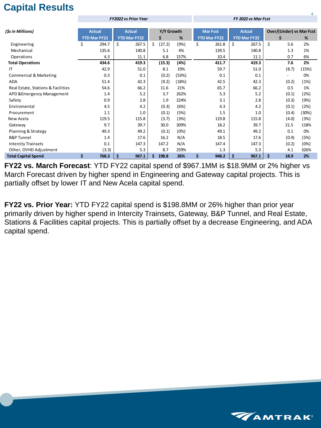# **Capital Results**

|                                    |                     | <b>FY2022 vs Prior Year</b> |              |       | FY 2022 vs Mar Fcst |                     |                                 |       |  |  |  |
|------------------------------------|---------------------|-----------------------------|--------------|-------|---------------------|---------------------|---------------------------------|-------|--|--|--|
|                                    |                     |                             |              |       |                     |                     |                                 |       |  |  |  |
| (\$s in Millions)                  | <b>Actual</b>       | <b>Actual</b>               | Y/Y Growth   |       | <b>Mar Fcst</b>     | <b>Actual</b>       | <b>Over/(Under) vs Mar Fcst</b> |       |  |  |  |
|                                    | <b>YTD Mar FY21</b> | <b>YTD Mar FY22</b>         | \$           | %     | <b>YTD Mar FY22</b> | <b>YTD Mar FY22</b> | \$                              | %     |  |  |  |
| Engineering                        | \$<br>294.7         | \$<br>267.5                 | \$<br>(27.2) | (9%)  | \$<br>261.8         | \$<br>267.5         | \$<br>5.6                       | 2%    |  |  |  |
| Mechanical                         | 135.6               | 140.8                       | 5.1          | 4%    | 139.5               | 140.8               | 1.3                             | 1%    |  |  |  |
| Operations                         | 4.3                 | 11.1                        | 6.8          | 157%  | 10.4                | 11.1                | 0.7                             | 6%    |  |  |  |
| <b>Total Operations</b>            | 434.6               | 419.3                       | (15.3)       | (4%)  | 411.7               | 419.3               | 7.6                             | 2%    |  |  |  |
| IT                                 | 42.9                | 51.0                        | 8.1          | 19%   | 59.7                | 51.0                | (8.7)                           | (15%) |  |  |  |
| <b>Commerical &amp; Marketing</b>  | 0.3                 | 0.1                         | (0.2)        | (53%) | 0.1                 | 0.1                 | $\overline{\phantom{0}}$        | 0%    |  |  |  |
| <b>ADA</b>                         | 51.4                | 42.3                        | (9.2)        | (18%) | 42.5                | 42.3                | (0.2)                           | (1%)  |  |  |  |
| Real Estate, Stations & Facilities | 54.6                | 66.2                        | 11.6         | 21%   | 65.7                | 66.2                | 0.5                             | 1%    |  |  |  |
| APD & Emergency Management         | 1.4                 | 5.2                         | 3.7          | 262%  | 5.3                 | 5.2                 | (0.1)                           | (2%)  |  |  |  |
| Safety                             | 0.9                 | 2.8                         | 1.9          | 224%  | 3.1                 | 2.8                 | (0.3)                           | (9%)  |  |  |  |
| Enviromental                       | 4.5                 | 4.2                         | (0.3)        | (6%)  | 4.3                 | 4.2                 | (0.1)                           | (2%)  |  |  |  |
| Procurement                        | 1.1                 | 1.0                         | (0.1)        | (5%)  | 1.5                 | 1.0                 | (0.4)                           | (30%) |  |  |  |
| New Acela                          | 119.5               | 115.8                       | (3.7)        | (3%)  | 119.8               | 115.8               | (4.0)                           | (3%)  |  |  |  |
| Gateway                            | 9.7                 | 39.7                        | 30.0         | 309%  | 18.2                | 39.7                | 21.5                            | 118%  |  |  |  |
| Planning & Strategy                | 49.3                | 49.2                        | (0.1)        | (0%)  | 49.1                | 49.2                | 0.1                             | 0%    |  |  |  |
| <b>B&amp;P Tunnel</b>              | 1.4                 | 17.6                        | 16.2         | N/A   | 18.5                | 17.6                | (0.9)                           | (5%)  |  |  |  |
| <b>Intercity Trainsets</b>         | 0.1                 | 147.3                       | 147.2        | N/A   | 147.4               | 147.3               | (0.2)                           | (0%)  |  |  |  |
| Other, OVHD Adjustment             | (3.3)               | 5.3                         | 8.7          | 259%  | 1.3                 | 5.3                 | 4.1                             | 326%  |  |  |  |
| <b>Total Capital Spend</b>         | \$<br>768.3         | \$<br>967.1                 | 198.8<br>\$  | 26%   | \$<br>948.2         | 967.1<br>\$         | \$<br>18.9                      | 2%    |  |  |  |

**FY22 vs. March Forecast**: YTD FY22 capital spend of \$967.1MM is \$18.9MM or 2% higher vs March Forecast driven by higher spend in Engineering and Gateway capital projects. This is partially offset by lower IT and New Acela capital spend.

**FY22 vs. Prior Year:** YTD FY22 capital spend is \$198.8MM or 26% higher than prior year primarily driven by higher spend in Intercity Trainsets, Gateway, B&P Tunnel, and Real Estate, Stations & Facilities capital projects. This is partially offset by a decrease Engineering, and ADA capital spend.

![](_page_3_Picture_4.jpeg)

4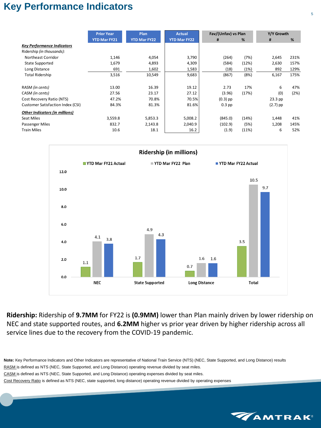## **Key Performance Indicators**

|                                          | <b>Prior Year</b>   | Plan                | <b>Actual</b>       | Fav/(Unfav) vs Plan |       | Y/Y Growth |      |  |
|------------------------------------------|---------------------|---------------------|---------------------|---------------------|-------|------------|------|--|
|                                          | <b>YTD Mar FY21</b> | <b>YTD Mar FY22</b> | <b>YTD Mar FY22</b> | #                   | %     | #          | %    |  |
| <b>Key Performance Indicators</b>        |                     |                     |                     |                     |       |            |      |  |
| Ridership (in thousands):                |                     |                     |                     |                     |       |            |      |  |
| Northeast Corridor                       | 1,146               | 4,054               | 3,790               | (264)               | (7%)  | 2,645      | 231% |  |
| <b>State Supported</b>                   | 1,679               | 4,893               | 4,309               | (584)               | (12%) | 2,630      | 157% |  |
| Long Distance                            | 691                 | 1,602               | 1,583               | (18)                | (1%)  | 892        | 129% |  |
| <b>Total Ridership</b>                   | 3,516               | 10,549              | 9,683               | (867)               | (8%)  | 6,167      | 175% |  |
|                                          |                     |                     |                     |                     |       |            |      |  |
| RASM (in cents)                          | 13.00               | 16.39               | 19.12               | 2.73                | 17%   | 6          | 47%  |  |
| CASM (in cents)                          | 27.56               | 23.17               | 27.12               | (3.96)              | (17%) | (0)        | (2%) |  |
| Cost Recovery Ratio (NTS)                | 47.2%               | 70.8%               | 70.5%               | $(0.3)$ pp          |       | $23.3$ pp  |      |  |
| <b>Customer Satisfaction Index (CSI)</b> | 84.3%               | 81.3%               | 81.6%               | $0.3$ pp            |       | $(2.7)$ pp |      |  |
| <b>Other Indicators (in millions)</b>    |                     |                     |                     |                     |       |            |      |  |
| <b>Seat Miles</b>                        | 3,559.8             | 5,853.3             | 5,008.2             | (845.0)             | (14%) | 1,448      | 41%  |  |
| Passenger Miles                          | 832.7               | 2,143.8             | 2,040.9             | (102.9)             | (5%)  | 1,208      | 145% |  |
| <b>Train Miles</b>                       | 10.6                | 18.1                | 16.2                | (1.9)               | (11%) | 6          | 52%  |  |

![](_page_4_Figure_2.jpeg)

**Ridership:** Ridership of **9.7MM** for FY22 is **(0.9MM)** lower than Plan mainly driven by lower ridership on NEC and state supported routes, and **6.2MM** higher vs prior year driven by higher ridership across all service lines due to the recovery from the COVID-19 pandemic.

**Note:** Key Performance Indicators and Other Indicators are representative of National Train Service (NTS) (NEC, State Supported, and Long Distance) results RASM is defined as NTS (NEC, State Supported, and Long Distance) operating revenue divided by seat miles. CASM is defined as NTS (NEC, State Supported, and Long Distance) operating expenses divided by seat miles. Cost Recovery Ratio is defined as NTS (NEC, state supported, long distance) operating revenue divided by operating expenses

![](_page_4_Picture_6.jpeg)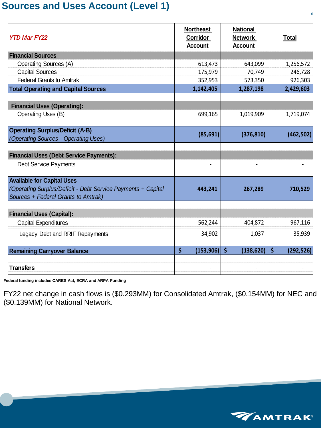### **Sources and Uses Account (Level 1)**

| <b>YTD Mar FY22</b>                                                                                 | <b>Northeast</b><br>Corridor<br><b>Account</b> | <b>National</b><br><b>Network</b><br><b>Account</b> | <u>Total</u>                       |
|-----------------------------------------------------------------------------------------------------|------------------------------------------------|-----------------------------------------------------|------------------------------------|
| <b>Financial Sources</b>                                                                            |                                                |                                                     |                                    |
| <b>Operating Sources (A)</b>                                                                        | 613,473                                        | 643,099                                             | 1,256,572                          |
| <b>Capital Sources</b>                                                                              | 175,979                                        | 70,749                                              | 246,728                            |
| <b>Federal Grants to Amtrak</b>                                                                     | 352,953                                        | 573,350                                             | 926,303                            |
| <b>Total Operating and Capital Sources</b>                                                          | 1,142,405                                      | 1,287,198                                           | 2,429,603                          |
|                                                                                                     |                                                |                                                     |                                    |
| <b>Financial Uses (Operating):</b><br><b>Operating Uses (B)</b>                                     | 699,165                                        | 1,019,909                                           | 1,719,074                          |
|                                                                                                     |                                                |                                                     |                                    |
| <b>Operating Surplus/Deficit (A-B)</b><br>(Operating Sources - Operating Uses)                      | (85, 691)                                      | (376, 810)                                          | (462, 502)                         |
|                                                                                                     |                                                |                                                     |                                    |
| <b>Financial Uses (Debt Service Payments):</b>                                                      |                                                |                                                     |                                    |
| <b>Debt Service Payments</b>                                                                        |                                                |                                                     |                                    |
| <b>Available for Capital Uses</b>                                                                   |                                                |                                                     |                                    |
| (Operating Surplus/Deficit - Debt Service Payments + Capital<br>Sources + Federal Grants to Amtrak) | 443,241                                        | 267,289                                             | 710,529                            |
|                                                                                                     |                                                |                                                     |                                    |
| <b>Financial Uses (Capital):</b>                                                                    |                                                |                                                     |                                    |
| <b>Capital Expenditures</b>                                                                         | 562,244                                        | 404,872                                             | 967,116                            |
| Legacy Debt and RRIF Repayments                                                                     | 34,902                                         | 1,037                                               | 35,939                             |
| <b>Remaining Carryover Balance</b>                                                                  | \$<br>(153, 906)                               | $\boldsymbol{\zeta}$<br>(138, 620)                  | $\boldsymbol{\zeta}$<br>(292, 526) |
|                                                                                                     |                                                |                                                     |                                    |
| <b>Transfers</b>                                                                                    |                                                |                                                     |                                    |

**Federal funding includes CARES Act, ECRA and ARPA Funding**

FY22 net change in cash flows is (\$0.293MM) for Consolidated Amtrak, (\$0.154MM) for NEC and (\$0.139MM) for National Network.

![](_page_5_Picture_4.jpeg)